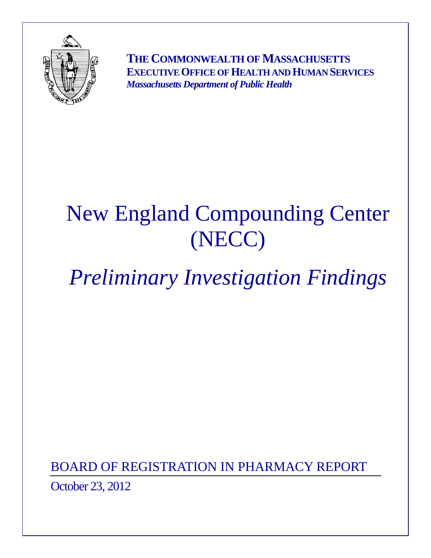

**THE COMMONWEALTH OF MASSACHUSETTS EXECUTIVE OFFICE OF HEALTH AND HUMAN SERVICES** *Massachusetts Department of Public Health* 

# New England Compounding Center (NECC)

# *Preliminary Investigation Findings*

BOARD OF REGISTRATION IN PHARMACY REPORT October 23, 2012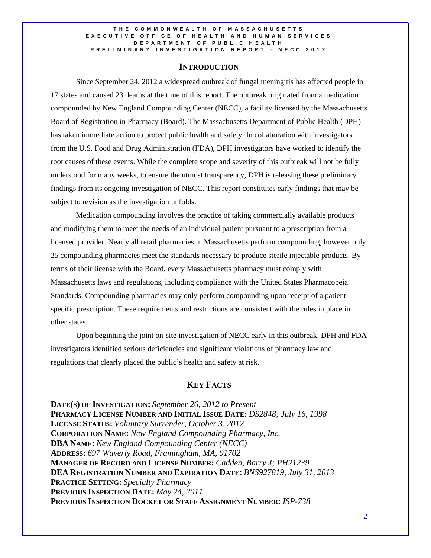### **INTRODUCTION**

Since September 24, 2012 a widespread outbreak of fungal meningitis has affected people in 17 states and caused 23 deaths at the time of this report. The outbreak originated from a medication compounded by New England Compounding Center (NECC), a facility licensed by the Massachusetts Board of Registration in Pharmacy (Board). The Massachusetts Department of Public Health (DPH) has taken immediate action to protect public health and safety. In collaboration with investigators from the U.S. Food and Drug Administration (FDA), DPH investigators have worked to identify the root causes of these events. While the complete scope and severity of this outbreak will not be fully understood for many weeks, to ensure the utmost transparency, DPH is releasing these preliminary findings from its ongoing investigation of NECC. This report constitutes early findings that may be subject to revision as the investigation unfolds.

Medication compounding involves the practice of taking commercially available products and modifying them to meet the needs of an individual patient pursuant to a prescription from a licensed provider. Nearly all retail pharmacies in Massachusetts perform compounding, however only 25 compounding pharmacies meet the standards necessary to produce sterile injectable products. By terms of their license with the Board, every Massachusetts pharmacy must comply with Massachusetts laws and regulations, including compliance with the United States Pharmacopeia Standards. Compounding pharmacies may only perform compounding upon receipt of a patientspecific prescription. These requirements and restrictions are consistent with the rules in place in other states.

Upon beginning the joint on-site investigation of NECC early in this outbreak, DPH and FDA investigators identified serious deficiencies and significant violations of pharmacy law and regulations that clearly placed the public's health and safety at risk.

# **KEY FACTS**

**DATE(S) OF INVESTIGATION:** *September 26, 2012 to Present*  **PHARMACY LICENSE NUMBER AND INITIAL ISSUE DATE:** *DS2848; July 16, 1998*  **LICENSE STATUS:** *Voluntary Surrender, October 3, 2012* **CORPORATION NAME:** *New England Compounding Pharmacy, Inc.*  **DBA NAME:** *New England Compounding Center (NECC)*  **ADDRESS:** *697 Waverly Road, Framingham, MA, 01702*  **MANAGER OF RECORD AND LICENSE NUMBER:** *Cadden, Barry J; PH21239*  **DEA REGISTRATION NUMBER AND EXPIRATION DATE:** *BNS927819, July 31, 2013*  **PRACTICE SETTING:** *Specialty Pharmacy*  **PREVIOUS INSPECTION DATE:** *May 24, 2011*  **PREVIOUS INSPECTION DOCKET OR STAFF ASSIGNMENT NUMBER:** *ISP-738*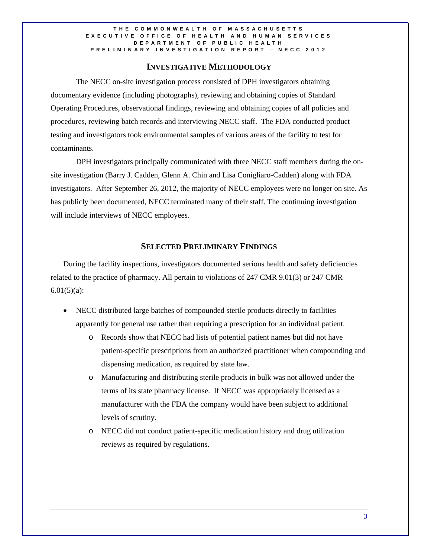## **INVESTIGATIVE METHODOLOGY**

The NECC on-site investigation process consisted of DPH investigators obtaining documentary evidence (including photographs), reviewing and obtaining copies of Standard Operating Procedures, observational findings, reviewing and obtaining copies of all policies and procedures, reviewing batch records and interviewing NECC staff. The FDA conducted product testing and investigators took environmental samples of various areas of the facility to test for contaminants.

DPH investigators principally communicated with three NECC staff members during the onsite investigation (Barry J. Cadden, Glenn A. Chin and Lisa Conigliaro-Cadden) along with FDA investigators. After September 26, 2012, the majority of NECC employees were no longer on site. As has publicly been documented, NECC terminated many of their staff. The continuing investigation will include interviews of NECC employees.

## **SELECTED PRELIMINARY FINDINGS**

During the facility inspections, investigators documented serious health and safety deficiencies related to the practice of pharmacy. All pertain to violations of 247 CMR 9.01(3) or 247 CMR  $6.01(5)(a)$ :

- NECC distributed large batches of compounded sterile products directly to facilities apparently for general use rather than requiring a prescription for an individual patient.
	- o Records show that NECC had lists of potential patient names but did not have patient-specific prescriptions from an authorized practitioner when compounding and dispensing medication, as required by state law.
	- o Manufacturing and distributing sterile products in bulk was not allowed under the terms of its state pharmacy license. If NECC was appropriately licensed as a manufacturer with the FDA the company would have been subject to additional levels of scrutiny.
	- o NECC did not conduct patient-specific medication history and drug utilization reviews as required by regulations.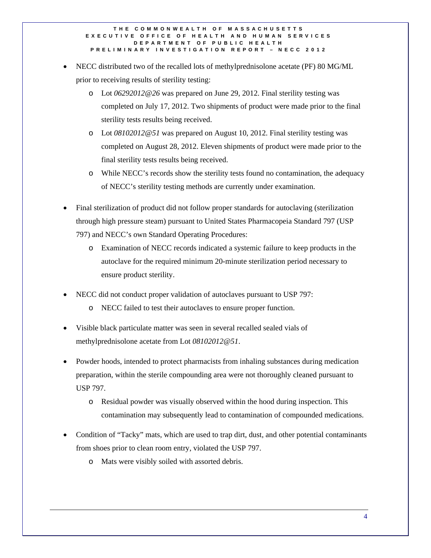- NECC distributed two of the recalled lots of methylprednisolone acetate (PF) 80 MG/ML prior to receiving results of sterility testing:
	- o Lot *06292012@26* was prepared on June 29, 2012. Final sterility testing was completed on July 17, 2012. Two shipments of product were made prior to the final sterility tests results being received.
	- o Lot *08102012@51* was prepared on August 10, 2012. Final sterility testing was completed on August 28, 2012. Eleven shipments of product were made prior to the final sterility tests results being received.
	- o While NECC's records show the sterility tests found no contamination, the adequacy of NECC's sterility testing methods are currently under examination.
- Final sterilization of product did not follow proper standards for autoclaving (sterilization through high pressure steam) pursuant to United States Pharmacopeia Standard 797 (USP 797) and NECC's own Standard Operating Procedures:
	- o Examination of NECC records indicated a systemic failure to keep products in the autoclave for the required minimum 20-minute sterilization period necessary to ensure product sterility.
- NECC did not conduct proper validation of autoclaves pursuant to USP 797:
	- o NECC failed to test their autoclaves to ensure proper function.
- Visible black particulate matter was seen in several recalled sealed vials of methylprednisolone acetate from Lot *08102012@51*.
- Powder hoods, intended to protect pharmacists from inhaling substances during medication preparation, within the sterile compounding area were not thoroughly cleaned pursuant to USP 797.
	- o Residual powder was visually observed within the hood during inspection. This contamination may subsequently lead to contamination of compounded medications.
- Condition of "Tacky" mats, which are used to trap dirt, dust, and other potential contaminants from shoes prior to clean room entry, violated the USP 797.
	- o Mats were visibly soiled with assorted debris.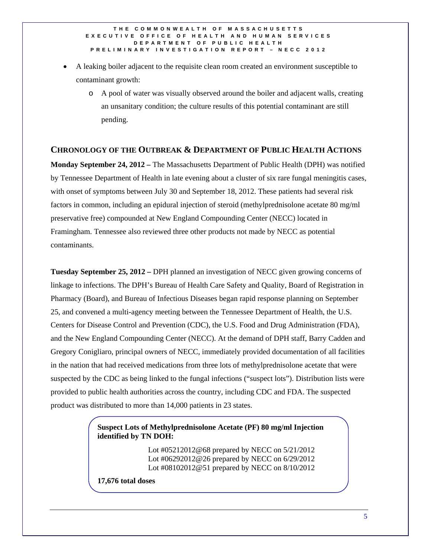- A leaking boiler adjacent to the requisite clean room created an environment susceptible to contaminant growth:
	- o A pool of water was visually observed around the boiler and adjacent walls, creating an unsanitary condition; the culture results of this potential contaminant are still pending.

## **CHRONOLOGY OF THE OUTBREAK & DEPARTMENT OF PUBLIC HEALTH ACTIONS**

**Monday September 24, 2012 –** The Massachusetts Department of Public Health (DPH) was notified by Tennessee Department of Health in late evening about a cluster of six rare fungal meningitis cases, with onset of symptoms between July 30 and September 18, 2012. These patients had several risk factors in common, including an epidural injection of steroid (methylprednisolone acetate 80 mg/ml preservative free) compounded at New England Compounding Center (NECC) located in Framingham. Tennessee also reviewed three other products not made by NECC as potential contaminants.

**Tuesday September 25, 2012 –** DPH planned an investigation of NECC given growing concerns of linkage to infections. The DPH's Bureau of Health Care Safety and Quality, Board of Registration in Pharmacy (Board), and Bureau of Infectious Diseases began rapid response planning on September 25, and convened a multi-agency meeting between the Tennessee Department of Health, the U.S. Centers for Disease Control and Prevention (CDC), the U.S. Food and Drug Administration (FDA), and the New England Compounding Center (NECC). At the demand of DPH staff, Barry Cadden and Gregory Conigliaro, principal owners of NECC, immediately provided documentation of all facilities in the nation that had received medications from three lots of methylprednisolone acetate that were suspected by the CDC as being linked to the fungal infections ("suspect lots"). Distribution lists were provided to public health authorities across the country, including CDC and FDA. The suspected product was distributed to more than 14,000 patients in 23 states.

## **Suspect Lots of Methylprednisolone Acetate (PF) 80 mg/ml Injection identified by TN DOH:**

 Lot #05212012@68 prepared by NECC on 5/21/2012 Lot #06292012@26 prepared by NECC on 6/29/2012 Lot #08102012@51 prepared by NECC on 8/10/2012

**17,676 total doses**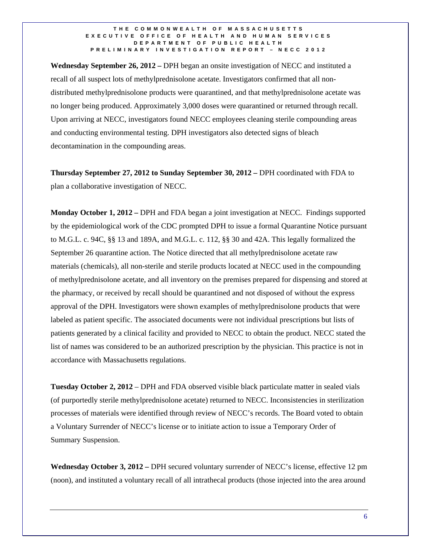**Wednesday September 26, 2012 –** DPH began an onsite investigation of NECC and instituted a recall of all suspect lots of methylprednisolone acetate. Investigators confirmed that all nondistributed methylprednisolone products were quarantined, and that methylprednisolone acetate was no longer being produced. Approximately 3,000 doses were quarantined or returned through recall. Upon arriving at NECC, investigators found NECC employees cleaning sterile compounding areas and conducting environmental testing. DPH investigators also detected signs of bleach decontamination in the compounding areas.

**Thursday September 27, 2012 to Sunday September 30, 2012 –** DPH coordinated with FDA to plan a collaborative investigation of NECC.

**Monday October 1, 2012 –** DPH and FDA began a joint investigation at NECC. Findings supported by the epidemiological work of the CDC prompted DPH to issue a formal Quarantine Notice pursuant to M.G.L. c. 94C, §§ 13 and 189A, and M.G.L. c. 112, §§ 30 and 42A. This legally formalized the September 26 quarantine action. The Notice directed that all methylprednisolone acetate raw materials (chemicals), all non-sterile and sterile products located at NECC used in the compounding of methylprednisolone acetate, and all inventory on the premises prepared for dispensing and stored at the pharmacy, or received by recall should be quarantined and not disposed of without the express approval of the DPH. Investigators were shown examples of methylprednisolone products that were labeled as patient specific. The associated documents were not individual prescriptions but lists of patients generated by a clinical facility and provided to NECC to obtain the product. NECC stated the list of names was considered to be an authorized prescription by the physician. This practice is not in accordance with Massachusetts regulations.

**Tuesday October 2, 2012** – DPH and FDA observed visible black particulate matter in sealed vials (of purportedly sterile methylprednisolone acetate) returned to NECC. Inconsistencies in sterilization processes of materials were identified through review of NECC's records. The Board voted to obtain a Voluntary Surrender of NECC's license or to initiate action to issue a Temporary Order of Summary Suspension.

**Wednesday October 3, 2012 –** DPH secured voluntary surrender of NECC's license, effective 12 pm (noon), and instituted a voluntary recall of all intrathecal products (those injected into the area around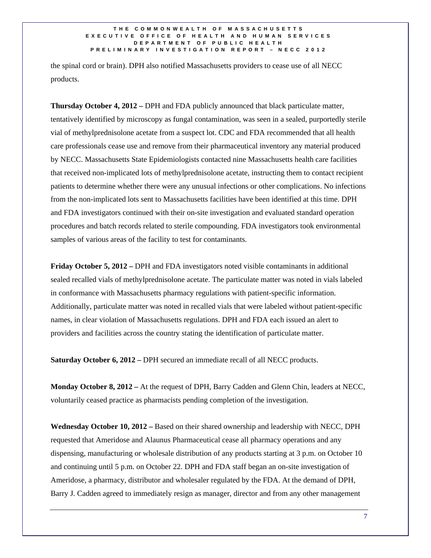the spinal cord or brain). DPH also notified Massachusetts providers to cease use of all NECC products.

**Thursday October 4, 2012 –** DPH and FDA publicly announced that black particulate matter, tentatively identified by microscopy as fungal contamination, was seen in a sealed, purportedly sterile vial of methylprednisolone acetate from a suspect lot. CDC and FDA recommended that all health care professionals cease use and remove from their pharmaceutical inventory any material produced by NECC. Massachusetts State Epidemiologists contacted nine Massachusetts health care facilities that received non-implicated lots of methylprednisolone acetate, instructing them to contact recipient patients to determine whether there were any unusual infections or other complications. No infections from the non-implicated lots sent to Massachusetts facilities have been identified at this time. DPH and FDA investigators continued with their on-site investigation and evaluated standard operation procedures and batch records related to sterile compounding. FDA investigators took environmental samples of various areas of the facility to test for contaminants.

**Friday October 5, 2012 –** DPH and FDA investigators noted visible contaminants in additional sealed recalled vials of methylprednisolone acetate. The particulate matter was noted in vials labeled in conformance with Massachusetts pharmacy regulations with patient-specific information. Additionally, particulate matter was noted in recalled vials that were labeled without patient-specific names, in clear violation of Massachusetts regulations. DPH and FDA each issued an alert to providers and facilities across the country stating the identification of particulate matter.

Saturday October 6, 2012 – DPH secured an immediate recall of all NECC products.

**Monday October 8, 2012 –** At the request of DPH, Barry Cadden and Glenn Chin, leaders at NECC, voluntarily ceased practice as pharmacists pending completion of the investigation.

**Wednesday October 10, 2012 –** Based on their shared ownership and leadership with NECC, DPH requested that Ameridose and Alaunus Pharmaceutical cease all pharmacy operations and any dispensing, manufacturing or wholesale distribution of any products starting at 3 p.m. on October 10 and continuing until 5 p.m. on October 22. DPH and FDA staff began an on-site investigation of Ameridose, a pharmacy, distributor and wholesaler regulated by the FDA. At the demand of DPH, Barry J. Cadden agreed to immediately resign as manager, director and from any other management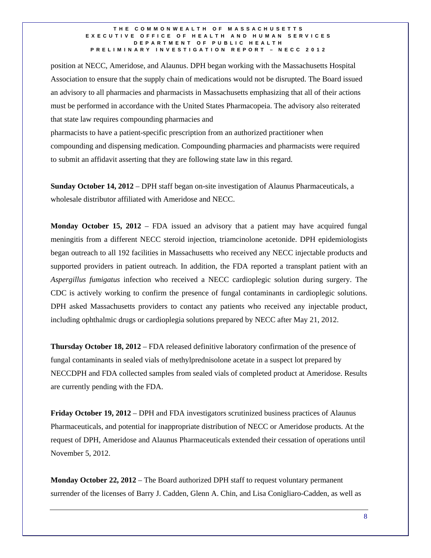position at NECC, Ameridose, and Alaunus. DPH began working with the Massachusetts Hospital Association to ensure that the supply chain of medications would not be disrupted. The Board issued an advisory to all pharmacies and pharmacists in Massachusetts emphasizing that all of their actions must be performed in accordance with the United States Pharmacopeia. The advisory also reiterated that state law requires compounding pharmacies and

pharmacists to have a patient-specific prescription from an authorized practitioner when compounding and dispensing medication. Compounding pharmacies and pharmacists were required to submit an affidavit asserting that they are following state law in this regard.

**Sunday October 14, 2012** – DPH staff began on-site investigation of Alaunus Pharmaceuticals, a wholesale distributor affiliated with Ameridose and NECC.

**Monday October 15, 2012** – FDA issued an advisory that a patient may have acquired fungal meningitis from a different NECC steroid injection, triamcinolone acetonide. DPH epidemiologists began outreach to all 192 facilities in Massachusetts who received any NECC injectable products and supported providers in patient outreach. In addition, the FDA reported a transplant patient with an *Aspergillus fumigatus* infection who received a NECC cardioplegic solution during surgery. The CDC is actively working to confirm the presence of fungal contaminants in cardioplegic solutions. DPH asked Massachusetts providers to contact any patients who received any injectable product, including ophthalmic drugs or cardioplegia solutions prepared by NECC after May 21, 2012.

**Thursday October 18, 2012** – FDA released definitive laboratory confirmation of the presence of fungal contaminants in sealed vials of methylprednisolone acetate in a suspect lot prepared by NECCDPH and FDA collected samples from sealed vials of completed product at Ameridose. Results are currently pending with the FDA.

**Friday October 19, 2012** – DPH and FDA investigators scrutinized business practices of Alaunus Pharmaceuticals, and potential for inappropriate distribution of NECC or Ameridose products. At the request of DPH, Ameridose and Alaunus Pharmaceuticals extended their cessation of operations until November 5, 2012.

**Monday October 22, 2012** – The Board authorized DPH staff to request voluntary permanent surrender of the licenses of Barry J. Cadden, Glenn A. Chin, and Lisa Conigliaro-Cadden, as well as